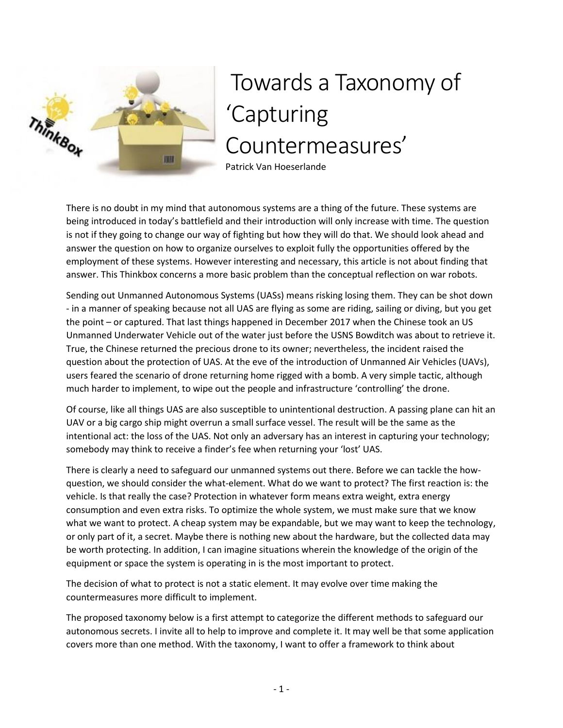

# Towards a Taxonomy of 'Capturing Countermeasures'

Patrick Van Hoeserlande

There is no doubt in my mind that autonomous systems are a thing of the future. These systems are being introduced in today's battlefield and their introduction will only increase with time. The question is not if they going to change our way of fighting but how they will do that. We should look ahead and answer the question on how to organize ourselves to exploit fully the opportunities offered by the employment of these systems. However interesting and necessary, this article is not about finding that answer. This Thinkbox concerns a more basic problem than the conceptual reflection on war robots.

Sending out Unmanned Autonomous Systems (UASs) means risking losing them. They can be shot down - in a manner of speaking because not all UAS are flying as some are riding, sailing or diving, but you get the point – or captured. That last things happened in December 2017 when the Chinese took an US Unmanned Underwater Vehicle out of the water just before the USNS Bowditch was about to retrieve it. True, the Chinese returned the precious drone to its owner; nevertheless, the incident raised the question about the protection of UAS. At the eve of the introduction of Unmanned Air Vehicles (UAVs), users feared the scenario of drone returning home rigged with a bomb. A very simple tactic, although much harder to implement, to wipe out the people and infrastructure 'controlling' the drone.

Of course, like all things UAS are also susceptible to unintentional destruction. A passing plane can hit an UAV or a big cargo ship might overrun a small surface vessel. The result will be the same as the intentional act: the loss of the UAS. Not only an adversary has an interest in capturing your technology; somebody may think to receive a finder's fee when returning your 'lost' UAS.

There is clearly a need to safeguard our unmanned systems out there. Before we can tackle the howquestion, we should consider the what-element. What do we want to protect? The first reaction is: the vehicle. Is that really the case? Protection in whatever form means extra weight, extra energy consumption and even extra risks. To optimize the whole system, we must make sure that we know what we want to protect. A cheap system may be expandable, but we may want to keep the technology, or only part of it, a secret. Maybe there is nothing new about the hardware, but the collected data may be worth protecting. In addition, I can imagine situations wherein the knowledge of the origin of the equipment or space the system is operating in is the most important to protect.

The decision of what to protect is not a static element. It may evolve over time making the countermeasures more difficult to implement.

The proposed taxonomy below is a first attempt to categorize the different methods to safeguard our autonomous secrets. I invite all to help to improve and complete it. It may well be that some application covers more than one method. With the taxonomy, I want to offer a framework to think about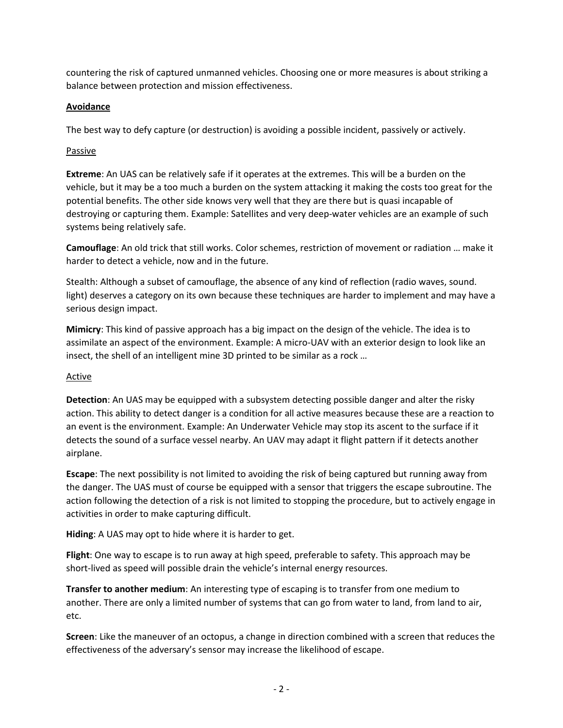countering the risk of captured unmanned vehicles. Choosing one or more measures is about striking a balance between protection and mission effectiveness.

### **Avoidance**

The best way to defy capture (or destruction) is avoiding a possible incident, passively or actively.

#### Passive

**Extreme**: An UAS can be relatively safe if it operates at the extremes. This will be a burden on the vehicle, but it may be a too much a burden on the system attacking it making the costs too great for the potential benefits. The other side knows very well that they are there but is quasi incapable of destroying or capturing them. Example: Satellites and very deep-water vehicles are an example of such systems being relatively safe.

**Camouflage**: An old trick that still works. Color schemes, restriction of movement or radiation … make it harder to detect a vehicle, now and in the future.

Stealth: Although a subset of camouflage, the absence of any kind of reflection (radio waves, sound. light) deserves a category on its own because these techniques are harder to implement and may have a serious design impact.

**Mimicry**: This kind of passive approach has a big impact on the design of the vehicle. The idea is to assimilate an aspect of the environment. Example: A micro-UAV with an exterior design to look like an insect, the shell of an intelligent mine 3D printed to be similar as a rock …

### **Active**

**Detection**: An UAS may be equipped with a subsystem detecting possible danger and alter the risky action. This ability to detect danger is a condition for all active measures because these are a reaction to an event is the environment. Example: An Underwater Vehicle may stop its ascent to the surface if it detects the sound of a surface vessel nearby. An UAV may adapt it flight pattern if it detects another airplane.

**Escape**: The next possibility is not limited to avoiding the risk of being captured but running away from the danger. The UAS must of course be equipped with a sensor that triggers the escape subroutine. The action following the detection of a risk is not limited to stopping the procedure, but to actively engage in activities in order to make capturing difficult.

**Hiding**: A UAS may opt to hide where it is harder to get.

**Flight**: One way to escape is to run away at high speed, preferable to safety. This approach may be short-lived as speed will possible drain the vehicle's internal energy resources.

**Transfer to another medium**: An interesting type of escaping is to transfer from one medium to another. There are only a limited number of systems that can go from water to land, from land to air, etc.

**Screen**: Like the maneuver of an octopus, a change in direction combined with a screen that reduces the effectiveness of the adversary's sensor may increase the likelihood of escape.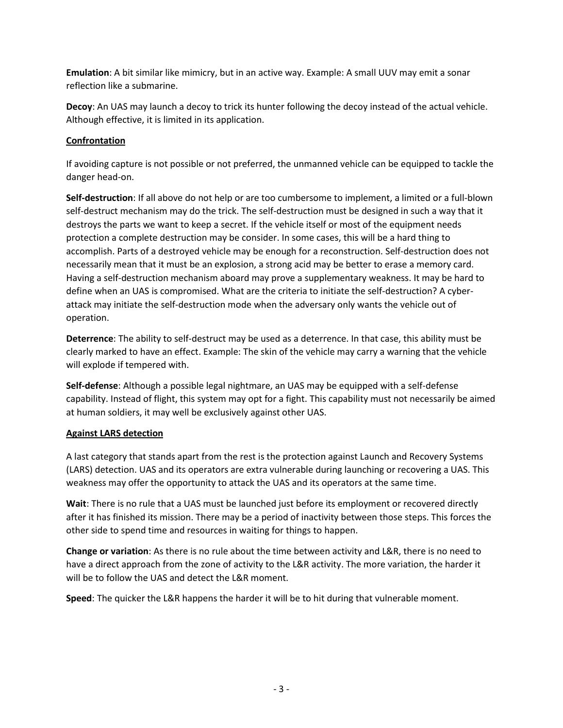**Emulation**: A bit similar like mimicry, but in an active way. Example: A small UUV may emit a sonar reflection like a submarine.

**Decoy**: An UAS may launch a decoy to trick its hunter following the decoy instead of the actual vehicle. Although effective, it is limited in its application.

## **Confrontation**

If avoiding capture is not possible or not preferred, the unmanned vehicle can be equipped to tackle the danger head-on.

**Self-destruction**: If all above do not help or are too cumbersome to implement, a limited or a full-blown self-destruct mechanism may do the trick. The self-destruction must be designed in such a way that it destroys the parts we want to keep a secret. If the vehicle itself or most of the equipment needs protection a complete destruction may be consider. In some cases, this will be a hard thing to accomplish. Parts of a destroyed vehicle may be enough for a reconstruction. Self-destruction does not necessarily mean that it must be an explosion, a strong acid may be better to erase a memory card. Having a self-destruction mechanism aboard may prove a supplementary weakness. It may be hard to define when an UAS is compromised. What are the criteria to initiate the self-destruction? A cyberattack may initiate the self-destruction mode when the adversary only wants the vehicle out of operation.

**Deterrence**: The ability to self-destruct may be used as a deterrence. In that case, this ability must be clearly marked to have an effect. Example: The skin of the vehicle may carry a warning that the vehicle will explode if tempered with.

**Self-defense**: Although a possible legal nightmare, an UAS may be equipped with a self-defense capability. Instead of flight, this system may opt for a fight. This capability must not necessarily be aimed at human soldiers, it may well be exclusively against other UAS.

### **Against LARS detection**

A last category that stands apart from the rest is the protection against Launch and Recovery Systems (LARS) detection. UAS and its operators are extra vulnerable during launching or recovering a UAS. This weakness may offer the opportunity to attack the UAS and its operators at the same time.

**Wait**: There is no rule that a UAS must be launched just before its employment or recovered directly after it has finished its mission. There may be a period of inactivity between those steps. This forces the other side to spend time and resources in waiting for things to happen.

**Change or variation**: As there is no rule about the time between activity and L&R, there is no need to have a direct approach from the zone of activity to the L&R activity. The more variation, the harder it will be to follow the UAS and detect the L&R moment.

**Speed**: The quicker the L&R happens the harder it will be to hit during that vulnerable moment.